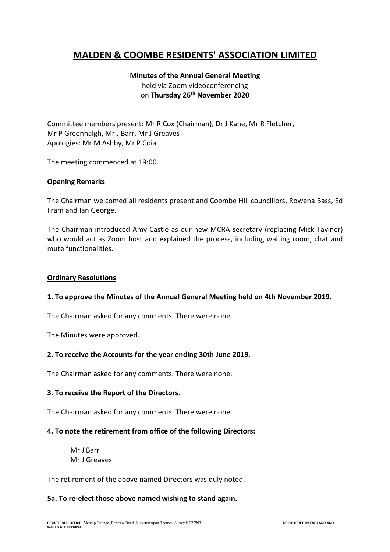# **MALDEN & COOMBE RESIDENTS' ASSOCIATION LIMITED**

## **Minutes of the Annual General Meeting** held via Zoom videoconferencing on **Thursday 26th November 2020**

Committee members present: Mr R Cox (Chairman), Dr J Kane, Mr R Fletcher, Mr P Greenhalgh, Mr J Barr, Mr J Greaves Apologies: Mr M Ashby, Mr P Coia

The meeting commenced at 19:00.

#### **Opening Remarks**

The Chairman welcomed all residents present and Coombe Hill councillors, Rowena Bass, Ed Fram and Ian George.

The Chairman introduced Amy Castle as our new MCRA secretary (replacing Mick Taviner) who would act as Zoom host and explained the process, including waiting room, chat and mute functionalities.

#### **Ordinary Resolutions**

#### **1. To approve the Minutes of the Annual General Meeting held on 4th November 2019.**

The Chairman asked for any comments. There were none.

The Minutes were approved.

#### **2. To receive the Accounts for the year ending 30th June 2019.**

The Chairman asked for any comments. There were none.

#### **3. To receive the Report of the Directors**.

The Chairman asked for any comments. There were none.

#### **4. To note the retirement from office of the following Directors:**

Mr J Barr Mr J Greaves

The retirement of the above named Directors was duly noted.

#### **5a. To re-elect those above named wishing to stand again.**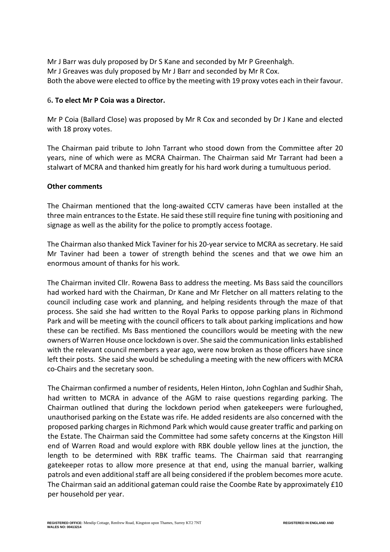Mr J Barr was duly proposed by Dr S Kane and seconded by Mr P Greenhalgh. Mr J Greaves was duly proposed by Mr J Barr and seconded by Mr R Cox. Both the above were elected to office by the meeting with 19 proxy votes each in their favour.

#### 6**. To elect Mr P Coia was a Director.**

Mr P Coia (Ballard Close) was proposed by Mr R Cox and seconded by Dr J Kane and elected with 18 proxy votes.

The Chairman paid tribute to John Tarrant who stood down from the Committee after 20 years, nine of which were as MCRA Chairman. The Chairman said Mr Tarrant had been a stalwart of MCRA and thanked him greatly for his hard work during a tumultuous period.

### **Other comments**

The Chairman mentioned that the long-awaited CCTV cameras have been installed at the three main entrances to the Estate. He said these still require fine tuning with positioning and signage as well as the ability for the police to promptly access footage.

The Chairman also thanked Mick Taviner for his 20-year service to MCRA as secretary. He said Mr Taviner had been a tower of strength behind the scenes and that we owe him an enormous amount of thanks for his work.

The Chairman invited Cllr. Rowena Bass to address the meeting. Ms Bass said the councillors had worked hard with the Chairman, Dr Kane and Mr Fletcher on all matters relating to the council including case work and planning, and helping residents through the maze of that process. She said she had written to the Royal Parks to oppose parking plans in Richmond Park and will be meeting with the council officers to talk about parking implications and how these can be rectified. Ms Bass mentioned the councillors would be meeting with the new owners of Warren House once lockdown is over. She said the communication links established with the relevant council members a year ago, were now broken as those officers have since left their posts. She said she would be scheduling a meeting with the new officers with MCRA co-Chairs and the secretary soon.

The Chairman confirmed a number of residents, Helen Hinton, John Coghlan and Sudhir Shah, had written to MCRA in advance of the AGM to raise questions regarding parking. The Chairman outlined that during the lockdown period when gatekeepers were furloughed, unauthorised parking on the Estate was rife. He added residents are also concerned with the proposed parking charges in Richmond Park which would cause greater traffic and parking on the Estate. The Chairman said the Committee had some safety concerns at the Kingston Hill end of Warren Road and would explore with RBK double yellow lines at the junction, the length to be determined with RBK traffic teams. The Chairman said that rearranging gatekeeper rotas to allow more presence at that end, using the manual barrier, walking patrols and even additional staff are all being considered if the problem becomes more acute. The Chairman said an additional gateman could raise the Coombe Rate by approximately £10 per household per year.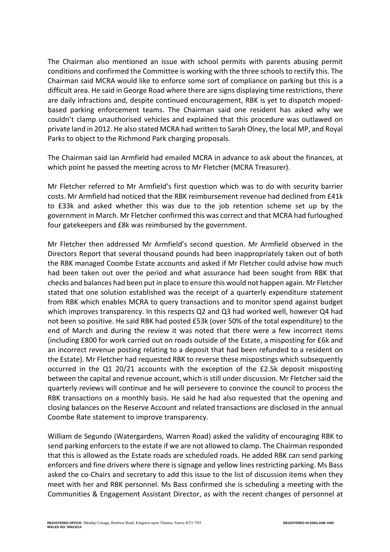The Chairman also mentioned an issue with school permits with parents abusing permit conditions and confirmed the Committee is working with the three schools to rectify this. The Chairman said MCRA would like to enforce some sort of compliance on parking but this is a difficult area. He said in George Road where there are signs displaying time restrictions, there are daily infractions and, despite continued encouragement, RBK is yet to dispatch mopedbased parking enforcement teams. The Chairman said one resident has asked why we couldn't clamp unauthorised vehicles and explained that this procedure was outlawed on private land in 2012. He also stated MCRA had written to Sarah Olney, the local MP, and Royal Parks to object to the Richmond Park charging proposals.

The Chairman said Ian Armfield had emailed MCRA in advance to ask about the finances, at which point he passed the meeting across to Mr Fletcher (MCRA Treasurer).

Mr Fletcher referred to Mr Armfield's first question which was to do with security barrier costs. Mr Armfield had noticed that the RBK reimbursement revenue had declined from £41k to £33k and asked whether this was due to the job retention scheme set up by the government in March. Mr Fletcher confirmed this was correct and that MCRA had furloughed four gatekeepers and £8k was reimbursed by the government.

Mr Fletcher then addressed Mr Armfield's second question. Mr Armfield observed in the Directors Report that several thousand pounds had been inappropriately taken out of both the RBK managed Coombe Estate accounts and asked if Mr Fletcher could advise how much had been taken out over the period and what assurance had been sought from RBK that checks and balances had been put in place to ensure this would not happen again. Mr Fletcher stated that one solution established was the receipt of a quarterly expenditure statement from RBK which enables MCRA to query transactions and to monitor spend against budget which improves transparency. In this respects Q2 and Q3 had worked well, however Q4 had not been so positive. He said RBK had posted £53k (over 50% of the total expenditure) to the end of March and during the review it was noted that there were a few incorrect items (including £800 for work carried out on roads outside of the Estate, a misposting for £6k and an incorrect revenue posting relating to a deposit that had been refunded to a resident on the Estate). Mr Fletcher had requested RBK to reverse these mispostings which subsequently occurred in the Q1 20/21 accounts with the exception of the £2.5k deposit misposting between the capital and revenue account, which is still under discussion. Mr Fletcher said the quarterly reviews will continue and he will persevere to convince the council to process the RBK transactions on a monthly basis. He said he had also requested that the opening and closing balances on the Reserve Account and related transactions are disclosed in the annual Coombe Rate statement to improve transparency.

William de Segundo (Watergardens, Warren Road) asked the validity of encouraging RBK to send parking enforcers to the estate if we are not allowed to clamp. The Chairman responded that this is allowed as the Estate roads are scheduled roads. He added RBK can send parking enforcers and fine drivers where there is signage and yellow lines restricting parking. Ms Bass asked the co-Chairs and secretary to add this issue to the list of discussion items when they meet with her and RBK personnel. Ms Bass confirmed she is scheduling a meeting with the Communities & Engagement Assistant Director, as with the recent changes of personnel at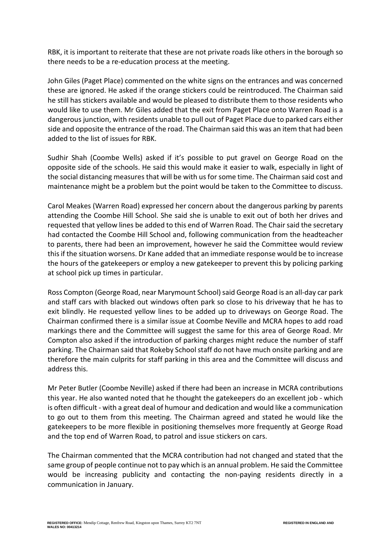RBK, it is important to reiterate that these are not private roads like others in the borough so there needs to be a re-education process at the meeting.

John Giles (Paget Place) commented on the white signs on the entrances and was concerned these are ignored. He asked if the orange stickers could be reintroduced. The Chairman said he still has stickers available and would be pleased to distribute them to those residents who would like to use them. Mr Giles added that the exit from Paget Place onto Warren Road is a dangerous junction, with residents unable to pull out of Paget Place due to parked cars either side and opposite the entrance of the road. The Chairman said this was an item that had been added to the list of issues for RBK.

Sudhir Shah (Coombe Wells) asked if it's possible to put gravel on George Road on the opposite side of the schools. He said this would make it easier to walk, especially in light of the social distancing measures that will be with us for some time. The Chairman said cost and maintenance might be a problem but the point would be taken to the Committee to discuss.

Carol Meakes (Warren Road) expressed her concern about the dangerous parking by parents attending the Coombe Hill School. She said she is unable to exit out of both her drives and requested that yellow lines be added to this end of Warren Road. The Chair said the secretary had contacted the Coombe Hill School and, following communication from the headteacher to parents, there had been an improvement, however he said the Committee would review thisif the situation worsens. Dr Kane added that an immediate response would be to increase the hours of the gatekeepers or employ a new gatekeeper to prevent this by policing parking at school pick up times in particular.

Ross Compton (George Road, near Marymount School)said George Road is an all-day car park and staff cars with blacked out windows often park so close to his driveway that he has to exit blindly. He requested yellow lines to be added up to driveways on George Road. The Chairman confirmed there is a similar issue at Coombe Neville and MCRA hopes to add road markings there and the Committee will suggest the same for this area of George Road. Mr Compton also asked if the introduction of parking charges might reduce the number of staff parking. The Chairman said that Rokeby School staff do not have much onsite parking and are therefore the main culprits for staff parking in this area and the Committee will discuss and address this.

Mr Peter Butler (Coombe Neville) asked if there had been an increase in MCRA contributions this year. He also wanted noted that he thought the gatekeepers do an excellent job - which is often difficult - with a great deal of humour and dedication and would like a communication to go out to them from this meeting. The Chairman agreed and stated he would like the gatekeepers to be more flexible in positioning themselves more frequently at George Road and the top end of Warren Road, to patrol and issue stickers on cars.

The Chairman commented that the MCRA contribution had not changed and stated that the same group of people continue not to pay which is an annual problem. He said the Committee would be increasing publicity and contacting the non-paying residents directly in a communication in January.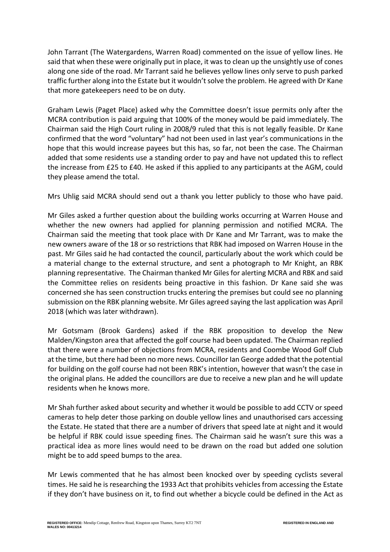John Tarrant (The Watergardens, Warren Road) commented on the issue of yellow lines. He said that when these were originally put in place, it was to clean up the unsightly use of cones along one side of the road. Mr Tarrant said he believes yellow lines only serve to push parked traffic further along into the Estate but it wouldn'tsolve the problem. He agreed with Dr Kane that more gatekeepers need to be on duty.

Graham Lewis (Paget Place) asked why the Committee doesn't issue permits only after the MCRA contribution is paid arguing that 100% of the money would be paid immediately. The Chairman said the High Court ruling in 2008/9 ruled that this is not legally feasible. Dr Kane confirmed that the word "voluntary" had not been used in last year's communications in the hope that this would increase payees but this has, so far, not been the case. The Chairman added that some residents use a standing order to pay and have not updated this to reflect the increase from £25 to £40. He asked if this applied to any participants at the AGM, could they please amend the total.

Mrs Uhlig said MCRA should send out a thank you letter publicly to those who have paid.

Mr Giles asked a further question about the building works occurring at Warren House and whether the new owners had applied for planning permission and notified MCRA. The Chairman said the meeting that took place with Dr Kane and Mr Tarrant, was to make the new owners aware of the 18 or so restrictions that RBK had imposed on Warren House in the past. Mr Giles said he had contacted the council, particularly about the work which could be a material change to the external structure, and sent a photograph to Mr Knight, an RBK planning representative. The Chairman thanked Mr Gilesfor alerting MCRA and RBK and said the Committee relies on residents being proactive in this fashion. Dr Kane said she was concerned she has seen construction trucks entering the premises but could see no planning submission on the RBK planning website. Mr Giles agreed saying the last application was April 2018 (which was later withdrawn).

Mr Gotsmam (Brook Gardens) asked if the RBK proposition to develop the New Malden/Kingston area that affected the golf course had been updated. The Chairman replied that there were a number of objections from MCRA, residents and Coombe Wood Golf Club at the time, but there had been no more news. Councillor Ian George added that the potential for building on the golf course had not been RBK's intention, however that wasn't the case in the original plans. He added the councillors are due to receive a new plan and he will update residents when he knows more.

Mr Shah further asked about security and whether it would be possible to add CCTV or speed cameras to help deter those parking on double yellow lines and unauthorised cars accessing the Estate. He stated that there are a number of drivers that speed late at night and it would be helpful if RBK could issue speeding fines. The Chairman said he wasn't sure this was a practical idea as more lines would need to be drawn on the road but added one solution might be to add speed bumps to the area.

Mr Lewis commented that he has almost been knocked over by speeding cyclists several times. He said he is researching the 1933 Act that prohibits vehicles from accessing the Estate if they don't have business on it, to find out whether a bicycle could be defined in the Act as